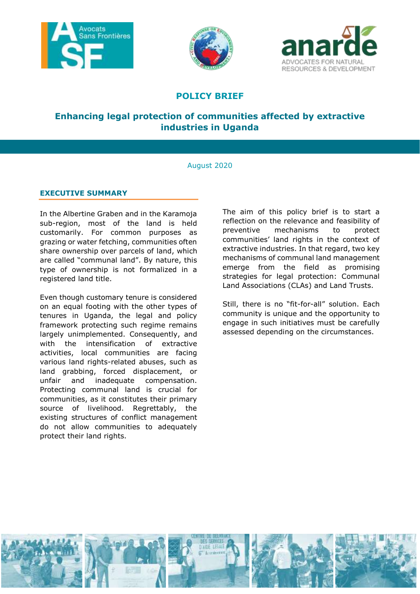





# **POLICY BRIEF**

# **Enhancing legal protection of communities affected by extractive industries in Uganda**

# August 2020

# **EXECUTIVE SUMMARY**

In the Albertine Graben and in the Karamoja sub-region, most of the land is held customarily. For common purposes as grazing or water fetching, communities often share ownership over parcels of land, which are called "communal land". By nature, this type of ownership is not formalized in a registered land title.

Even though customary tenure is considered on an equal footing with the other types of tenures in Uganda, the legal and policy framework protecting such regime remains largely unimplemented. Consequently, and with the intensification of extractive activities, local communities are facing various land rights-related abuses, such as land grabbing, forced displacement, or unfair and inadequate compensation. Protecting communal land is crucial for communities, as it constitutes their primary source of livelihood. Regrettably, the existing structures of conflict management do not allow communities to adequately protect their land rights.

The aim of this policy brief is to start a reflection on the relevance and feasibility of preventive mechanisms to protect communities' land rights in the context of extractive industries. In that regard, two key mechanisms of communal land management emerge from the field as promising strategies for legal protection: Communal Land Associations (CLAs) and Land Trusts.

Still, there is no "fit-for-all" solution. Each community is unique and the opportunity to engage in such initiatives must be carefully assessed depending on the circumstances.

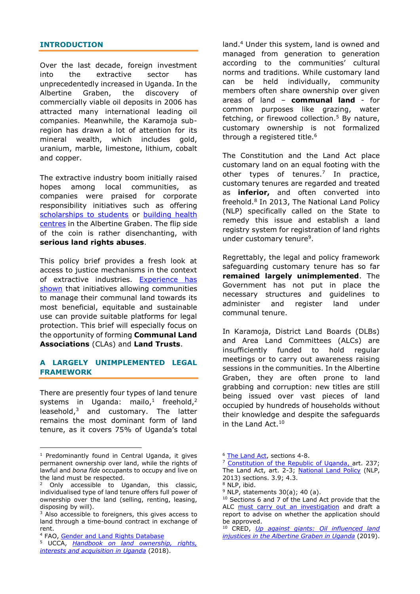# **INTRODUCTION**

Over the last decade, foreign investment into the extractive sector has unprecedentedly increased in Uganda. In the Albertine Graben, the discovery of commercially viable oil deposits in 2006 has attracted many international leading oil companies. Meanwhile, the Karamoja subregion has drawn a lot of attention for its mineral wealth, which includes gold, uranium, marble, limestone, lithium, cobalt and copper.

The extractive industry boom initially raised hopes among local communities, as companies were praised for corporate responsibility initiatives such as offering [scholarships to students](https://www.monitor.co.ug/Business/5-Ugandans-win-CNOOC-oil-and-gas-scholarships/688322-2444422-view-printVersion-f0e6ct/index.html) or building health [centres](https://www.newvision.co.ug/new_vision/news/1299877/tullow-oil-supports-communities) in the Albertine Graben. The flip side of the coin is rather disenchanting, with **serious land rights abuses**.

This policy brief provides a fresh look at access to justice mechanisms in the context of extractive industries. [Experience has](http://creduganda.org/wp-content/uploads/2019/05/up-against-giants.pdf)  [shown](http://creduganda.org/wp-content/uploads/2019/05/up-against-giants.pdf) that initiatives allowing communities to manage their communal land towards its most beneficial, equitable and sustainable use can provide suitable platforms for legal protection. This brief will especially focus on the opportunity of forming **Communal Land Associations** (CLAs) and **Land Trusts**.

# **A LARGELY UNIMPLEMENTED LEGAL FRAMEWORK**

There are presently four types of land tenure systems in Uganda: mailo,<sup>1</sup> freehold,<sup>2</sup> leasehold,<sup>3</sup> and customary. The latter remains the most dominant form of land tenure, as it covers 75% of Uganda's total

-

land. <sup>4</sup> Under this system, land is owned and managed from generation to generation according to the communities' cultural norms and traditions. While customary land can be held individually, community members often share ownership over given areas of land – **communal land** - for common purposes like grazing, water fetching, or firewood collection.<sup>5</sup> By nature, customary ownership is not formalized through a registered title. 6

The Constitution and the Land Act place customary land on an equal footing with the other types of tenures. 7 In practice, customary tenures are regarded and treated as **inferior,** and often converted into freehold. 8 In 2013, The National Land Policy (NLP) specifically called on the State to remedy this issue and establish a land registry system for registration of land rights under customary tenure<sup>9</sup>.

Regrettably, the legal and policy framework safeguarding customary tenure has so far **remained largely unimplemented**. The Government has not put in place the necessary structures and guidelines to administer and register land under communal tenure.

In Karamoja, District Land Boards (DLBs) and Area Land Committees (ALCs) are insufficiently funded to hold regular meetings or to carry out awareness raising sessions in the communities. In the Albertine Graben, they are often prone to land grabbing and corruption: new titles are still being issued over vast pieces of land occupied by hundreds of households without their knowledge and despite the safeguards in the Land Act.<sup>10</sup>

<sup>6</sup> [The Land Act,](https://barefootlaw.org/wp-content/uploads/2018/08/The-Land-Act.pdf) sections 4-8.

<sup>&</sup>lt;sup>1</sup> Predominantly found in Central Uganda, it gives permanent ownership over land, while the rights of lawful and *bona fide* occupants to occupy and live on the land must be respected.

<sup>2</sup> Only accessible to Ugandan, this classic, individualised type of land tenure offers full power of ownership over the land (selling, renting, leasing, disposing by will).

<sup>&</sup>lt;sup>3</sup> Also accessible to foreigners, this gives access to land through a time-bound contract in exchange of rent.

<sup>4</sup> FAO, [Gender and Land Rights Database](http://www.fao.org/gender-landrights-database/country-profiles/countries-list/land-tenure-and-related-institutions/prevailing-systems-of-land-tenure/en/?country_iso3=UGA)

<sup>5</sup> UCCA, *[Handbook on land ownership, rights,](https://www.iser-uganda.org/images/downloads/Handbook_on_Land-Rights_Interests_and_Acquisition_Processes_in_Uganda.pdf)  [interests and acquisition in Uganda](https://www.iser-uganda.org/images/downloads/Handbook_on_Land-Rights_Interests_and_Acquisition_Processes_in_Uganda.pdf)* (2018).

[Constitution](https://ulii.org/ug/legislation/consolidated-act/0) of the Republic of Uganda, art. 237; The Land Act, art. 2-3; [National Land Policy](http://extwprlegs1.fao.org/docs/pdf/uga163420.pdf) (NLP, 2013) sections. 3.9; 4.3.

<sup>8</sup> NLP, ibid.

 $9$  NLP, statements 30(a); 40 (a).

<sup>10</sup> Sections 6 and 7 of the Land Act provide that the ALC [must carry out an investigation](http://creduganda.org/2019/04/20/fight-corruption-in-land-administration-to-end-land-injustices/)) and draft a report to advise on whether the application should be approved.

<sup>10</sup> CRED, *[Up against giants: Oil influenced land](http://creduganda.org/wp-content/uploads/2019/05/up-against-giants.pdf)  [injustices in the Albertine Graben in Uganda](http://creduganda.org/wp-content/uploads/2019/05/up-against-giants.pdf)* (2019).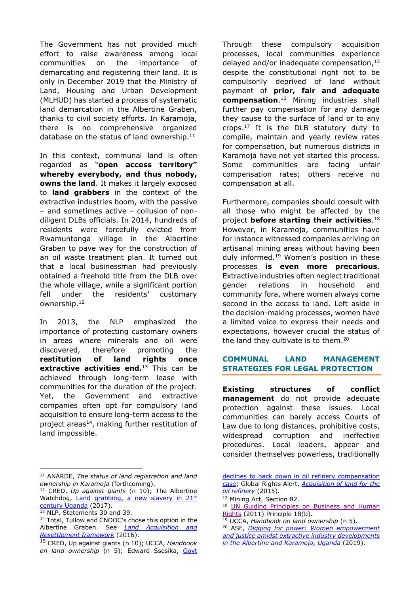The Government has not provided much effort to raise awareness among local communities on the importance of demarcating and registering their land. It is only in December 2019 that the Ministry of Land, Housing and Urban Development (MLHUD) has started a process of systematic land demarcation in the Albertine Graben, thanks to civil society efforts. In Karamoja, there is no comprehensive organized database on the status of land ownership.<sup>11</sup>

In this context, communal land is often regarded as "**open access territory" whereby everybody, and thus nobody, owns the land**. It makes it largely exposed to **land grabbers** in the context of the extractive industries boom, with the passive – and sometimes active – collusion of nondiligent DLBs officials. In 2014, hundreds of residents were forcefully evicted from Rwamuntonga village in the Albertine Graben to pave way for the construction of an oil waste treatment plan. It turned out that a local businessman had previously obtained a freehold title from the DLB over the whole village, while a significant portion fell under the residents' customary ownership.<sup>12</sup>

In 2013, the NLP emphasized the importance of protecting customary owners in areas where minerals and oil were discovered, therefore promoting the **restitution of land rights once extractive activities end.** <sup>13</sup> This can be achieved through long-term lease with communities for the duration of the project. Yet, the Government and extractive companies often opt for compulsory land acquisition to ensure long-term access to the project areas $^{14}$ , making further restitution of land impossible.

-

Through these compulsory acquisition processes, local communities experience delayed and/or inadequate compensation, 15 despite the constitutional right not to be compulsorily deprived of land without payment of **prior, fair and adequate compensation**. <sup>16</sup> Mining industries shall further pay compensation for any damage they cause to the surface of land or to any crops. <sup>17</sup> It is the DLB statutory duty to compile, maintain and yearly review rates for compensation, but numerous districts in Karamoja have not yet started this process. Some communities are facing unfair compensation rates; others receive no compensation at all.

Furthermore, companies should consult with all those who might be affected by the project **before starting their activities**. 18 However, in Karamoja, communities have for instance witnessed companies arriving on artisanal mining areas without having been duly informed. <sup>19</sup> Women's position in these processes **is even more precarious**. Extractive industries often neglect traditional gender relations in household and community fora, where women always come second in the access to land. Left aside in the decision-making processes, women have a limited voice to express their needs and expectations, however crucial the status of the land they cultivate is to them.<sup>20</sup>

# **COMMUNAL LAND MANAGEMENT STRATEGIES FOR LEGAL PROTECTION**

**Existing structures of conflict management** do not provide adequate protection against these issues. Local communities can barely access Courts of Law due to long distances, prohibitive costs, widespread corruption and ineffective procedures. Local leaders, appear and consider themselves powerless, traditionally

<sup>11</sup> ANARDE, *The status of land registration and land ownership in Karamoja* (forthcoming).

<sup>12</sup> CRED, *Up against giants* (n 10); The Albertine Watchdog, [Land grabbing, a new slavery in 21](https://www.albertinewatchdog.org/2017/08/11/land-grabbing-a-new-slavery-in-21st-century-uganda/)st [century Uganda](https://www.albertinewatchdog.org/2017/08/11/land-grabbing-a-new-slavery-in-21st-century-uganda/) (2017).

<sup>13</sup> NLP, Statements 30 and 39.

<sup>14</sup> Total, Tullow and CNOOC's chose this option in the Albertine Graben. See *[Land Acquisition and](https://pau.go.ug/site/assets/files/1116/larf_land_acquisition.pdf)  [Resettlement framework](https://pau.go.ug/site/assets/files/1116/larf_land_acquisition.pdf)* (2016).

<sup>15</sup> CRED, Up against giants (n 10); UCCA, *Handbook on land ownership* (n 5); Edward Ssesika, [Govt](http://www.nape.or.ug/news-events/latest-news/120-govt-declines-to-back-down-in-oil-refinery-compensation-case) 

declines to back down in oil refinery compensation [case;](http://www.nape.or.ug/news-events/latest-news/120-govt-declines-to-back-down-in-oil-refinery-compensation-case) Global Rights Alert, *[Acquisition of land for the](https://www.globalrightsalert.org/sites/default/files/GRA_Resettlement_Report.pdf)  [oil refinery](https://www.globalrightsalert.org/sites/default/files/GRA_Resettlement_Report.pdf)* (2015).

<sup>&</sup>lt;sup>17</sup> Mining Act, Section 82.

<sup>18</sup> UN Guiding Principles on Business and Human [Rights](https://www.ohchr.org/documents/publications/guidingprinciplesbusinesshr_en.pdf) (2011) Principle 18(b).

<sup>19</sup> UCCA, *Handbook on land ownership* (n 5).

<sup>20</sup> ASF, *[Digging for power: Women empowerment](https://www.asf.be/wp-content/uploads/2019/03/ASF_UG_DiggingForPower_201903_EN.pdf)  [and justice amidst extractive industry developments](https://www.asf.be/wp-content/uploads/2019/03/ASF_UG_DiggingForPower_201903_EN.pdf)  [in the Albertine and Karamoja, Uganda](https://www.asf.be/wp-content/uploads/2019/03/ASF_UG_DiggingForPower_201903_EN.pdf)* (2019).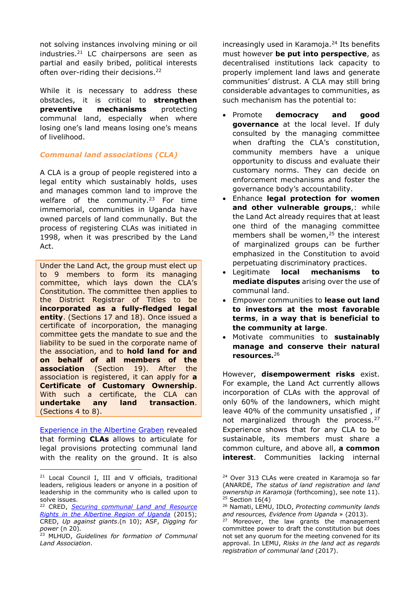not solving instances involving mining or oil industries. $21$  LC chairpersons are seen as partial and easily bribed, political interests often over-riding their decisions.<sup>22</sup>

While it is necessary to address these obstacles, it is critical to **strengthen preventive mechanisms** protecting communal land, especially when where losing one's land means losing one's means of livelihood.

# *Communal land associations (CLA)*

A CLA is a group of people registered into a legal entity which sustainably holds, uses and manages common land to improve the welfare of the community.<sup>23</sup> For time immemorial, communities in Uganda have owned parcels of land communally. But the process of registering CLAs was initiated in 1998, when it was prescribed by the Land Act.

Under the Land Act, the group must elect up to 9 members to form its managing committee, which lays down the CLA's Constitution. The committee then applies to the District Registrar of Titles to be **incorporated as a fully-fledged legal entity**. (Sections 17 and 18). Once issued a certificate of incorporation, the managing committee gets the mandate to sue and the liability to be sued in the corporate name of the association, and to **hold land for and on behalf of all members of the association** (Section 19). After the association is registered, it can apply for **a Certificate of Customary Ownership**. With such a certificate, the CLA can **undertake any land transaction**. (Sections 4 to 8).

[Experience in the Albertine Graben](http://creduganda.org/wp-content/uploads/2019/05/Securing-communal-tenure-and-resource-rights-in-the-Albertine-graben-of-Uganda.pdf) revealed that forming **CLAs** allows to articulate for legal provisions protecting communal land with the reality on the ground. It is also

-

increasingly used in Karamoja.<sup>24</sup> Its benefits must however **be put into perspective**, as decentralised institutions lack capacity to properly implement land laws and generate communities' distrust. A CLA may still bring considerable advantages to communities, as such mechanism has the potential to:

- Promote **democracy and good governance** at the local level. If duly consulted by the managing committee when drafting the CLA's constitution, community members have a unique opportunity to discuss and evaluate their customary norms. They can decide on enforcement mechanisms and foster the governance body's accountability.
- Enhance **legal protection for women and other vulnerable groups**,: while the Land Act already requires that at least one third of the managing committee members shall be women,<sup>25</sup> the interest of marginalized groups can be further emphasized in the Constitution to avoid perpetuating discriminatory practices.
- Legitimate **local mechanisms to mediate disputes** arising over the use of communal land.
- Empower communities to **lease out land to investors at the most favorable terms**, **in a way that is beneficial to the community at large**.
- Motivate communities to **sustainably manage and conserve their natural resources.**<sup>26</sup>

However, **disempowerment risks** exist. For example, the Land Act currently allows incorporation of CLAs with the approval of only 60% of the landowners, which might leave 40% of the community unsatisfied , if not marginalized through the process.<sup>27</sup> Experience shows that for any CLA to be sustainable, its members must share a common culture, and above all, **a common interest**. Communities lacking internal

<sup>21</sup> Local Council I, III and V officials, traditional leaders, religious leaders or anyone in a position of leadership in the community who is called upon to solve issues.

<sup>22</sup> CRED, *[Securing communal Land and Resource](http://creduganda.org/wp-content/uploads/2019/05/Securing-communal-tenure-and-resource-rights-in-the-Albertine-graben-of-Uganda.pdf)  [Rights in the Albertine Region of Uganda](http://creduganda.org/wp-content/uploads/2019/05/Securing-communal-tenure-and-resource-rights-in-the-Albertine-graben-of-Uganda.pdf)* (2015); CRED, *Up against giants*.(n 10); ASF, *Digging for power* (n 20)*.*

<sup>23</sup> MLHUD, *Guidelines for formation of Communal Land Association*.

<sup>&</sup>lt;sup>24</sup> Over 313 CLAs were created in Karamoja so far (ANARDE, *The status of land registration and land ownership in Karamoja* (forthcoming), see note 11).  $25$  Section 16(4)

<sup>26</sup> Namati, LEMU, IDLO, *Protecting community lands and resources, Evidence from Uganda* » (2013).

<sup>&</sup>lt;sup>27</sup> Moreover, the law grants the management committee power to draft the constitution but does not set any quorum for the meeting convened for its approval. In LEMU, *Risks in the land act as regards registration of communal land* (2017).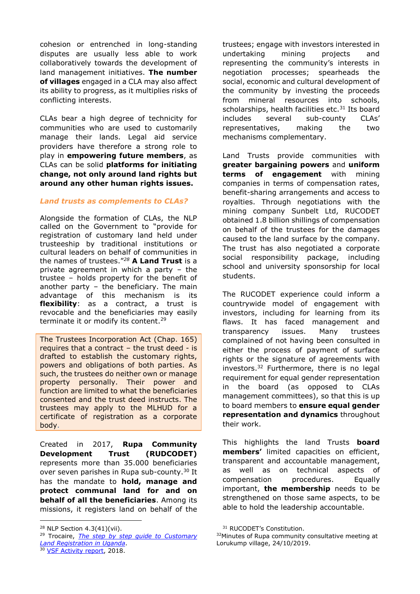cohesion or entrenched in long-standing disputes are usually less able to work collaboratively towards the development of land management initiatives. **The number of villages** engaged in a CLA may also affect its ability to progress, as it multiplies risks of conflicting interests.

CLAs bear a high degree of technicity for communities who are used to customarily manage their lands. Legal aid service providers have therefore a strong role to play in **empowering future members**, as CLAs can be solid **platforms for initiating change, not only around land rights but around any other human rights issues.**

# *Land trusts as complements to CLAs?*

Alongside the formation of CLAs, the NLP called on the Government to "provide for registration of customary land held under trusteeship by traditional institutions or cultural leaders on behalf of communities in the names of trustees."*<sup>28</sup>* **A Land Trust** is a private agreement in which a party – the trustee – holds property for the benefit of another party – the beneficiary. The main advantage of this mechanism is its **flexibility**: as a contract, a trust is revocable and the beneficiaries may easily terminate it or modify its content.<sup>29</sup>

The Trustees Incorporation Act (Chap. 165) requires that a contract – the trust deed - is drafted to establish the customary rights, powers and obligations of both parties. As such, the trustees do neither own or manage property personally. Their power and function are limited to what the beneficiaries consented and the trust deed instructs. The trustees may apply to the MLHUD for a certificate of registration as a corporate body.

Created in 2017, **Rupa Community Development Trust (RUDCODET)** represents more than 35.000 beneficiaries over seven parishes in Rupa sub-county. <sup>30</sup> It has the mandate to **hold, manage and protect communal land for and on behalf of all the beneficiaries**. Among its missions, it registers land on behalf of the

-

<sup>30</sup> [VSF Activity report,](https://vsf-belgium.org/wp-content/uploads/2019/07/2018_activityreport.pdf) 2018.

trustees; engage with investors interested in undertaking mining projects and representing the community's interests in negotiation processes; spearheads the social, economic and cultural development of the community by investing the proceeds from mineral resources into schools, scholarships, health facilities etc.<sup>31</sup> Its board includes several sub-county CLAs' representatives, making the two mechanisms complementary.

Land Trusts provide communities with **greater bargaining powers** and **uniform terms of engagement** with mining companies in terms of compensation rates, benefit-sharing arrangements and access to royalties. Through negotiations with the mining company Sunbelt Ltd, RUCODET obtained 1.8 billion shillings of compensation on behalf of the trustees for the damages caused to the land surface by the company. The trust has also negotiated a corporate social responsibility package, including school and university sponsorship for local students.

The RUCODET experience could inform a countrywide model of engagement with investors, including for learning from its flaws. It has faced management and transparency issues. Many trustees complained of not having been consulted in either the process of payment of surface rights or the signature of agreements with investors. <sup>32</sup> Furthermore, there is no legal requirement for equal gender representation in the board (as opposed to CLAs management committees), so that this is up to board members to **ensure equal gender representation and dynamics** throughout their work.

This highlights the land Trusts **board members'** limited capacities on efficient, transparent and accountable management, as well as on technical aspects of compensation procedures. Equally important, **the membership** needs to be strengthened on those same aspects, to be able to hold the leadership accountable.

<sup>28</sup> NLP Section 4.3(41)(vii).

<sup>29</sup> Trocaire, *[The step by step guide to Customary](https://www.trocaire.org/sites/default/files/resources/policy/180419_the_step_by_step_guide_to_customary_land_registration_in_uganda.pdf)  [Land Registration in Uganda](https://www.trocaire.org/sites/default/files/resources/policy/180419_the_step_by_step_guide_to_customary_land_registration_in_uganda.pdf)*.

<sup>31</sup> RUCODET's Constitution.

<sup>32</sup>Minutes of Rupa community consultative meeting at Lorukump village, 24/10/2019.